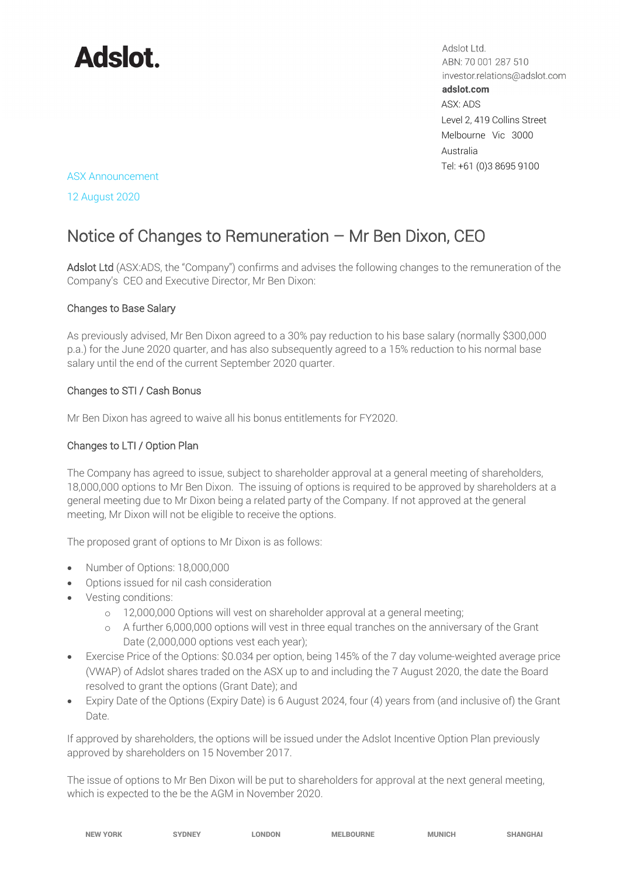

Adslot Ltd. ABN: 70 001 287 510 investor.relations@adslot.com adslot.com ASX: ADS Level 2, 419 Collins Street Melbourne Vic 3000 Australia Tel: +61 (0)3 8695 9100

#### ASX Announcement

12 August 2020

# Notice of Changes to Remuneration – Mr Ben Dixon, CEO

Adslot Ltd (ASX:ADS, the "Company") confirms and advises the following changes to the remuneration of the Company's CEO and Executive Director, Mr Ben Dixon:

### Changes to Base Salary

As previously advised, Mr Ben Dixon agreed to a 30% pay reduction to his base salary (normally \$300,000 p.a.) for the June 2020 quarter, and has also subsequently agreed to a 15% reduction to his normal base salary until the end of the current September 2020 quarter.

#### Changes to STI / Cash Bonus

Mr Ben Dixon has agreed to waive all his bonus entitlements for FY2020.

#### Changes to LTI / Option Plan

The Company has agreed to issue, subject to shareholder approval at a general meeting of shareholders, 18,000,000 options to Mr Ben Dixon. The issuing of options is required to be approved by shareholders at a general meeting due to Mr Dixon being a related party of the Company. If not approved at the general meeting, Mr Dixon will not be eligible to receive the options.

The proposed grant of options to Mr Dixon is as follows:

- Number of Options: 18,000,000
- Options issued for nil cash consideration
- Vesting conditions:
	- o 12,000,000 Options will vest on shareholder approval at a general meeting;
	- o A further 6,000,000 options will vest in three equal tranches on the anniversary of the Grant Date (2,000,000 options vest each year);
- Exercise Price of the Options: \$0.034 per option, being 145% of the 7 day volume-weighted average price (VWAP) of Adslot shares traded on the ASX up to and including the 7 August 2020, the date the Board resolved to grant the options (Grant Date); and
- Expiry Date of the Options (Expiry Date) is 6 August 2024, four (4) years from (and inclusive of) the Grant Date.

If approved by shareholders, the options will be issued under the Adslot Incentive Option Plan previously approved by shareholders on 15 November 2017.

The issue of options to Mr Ben Dixon will be put to shareholders for approval at the next general meeting, which is expected to the be the AGM in November 2020.

| W.          |  |
|-------------|--|
| - 11<br>– w |  |

NEW YORK SYDNEY LONDON MELBOURNE MUNICH SHANGHAI